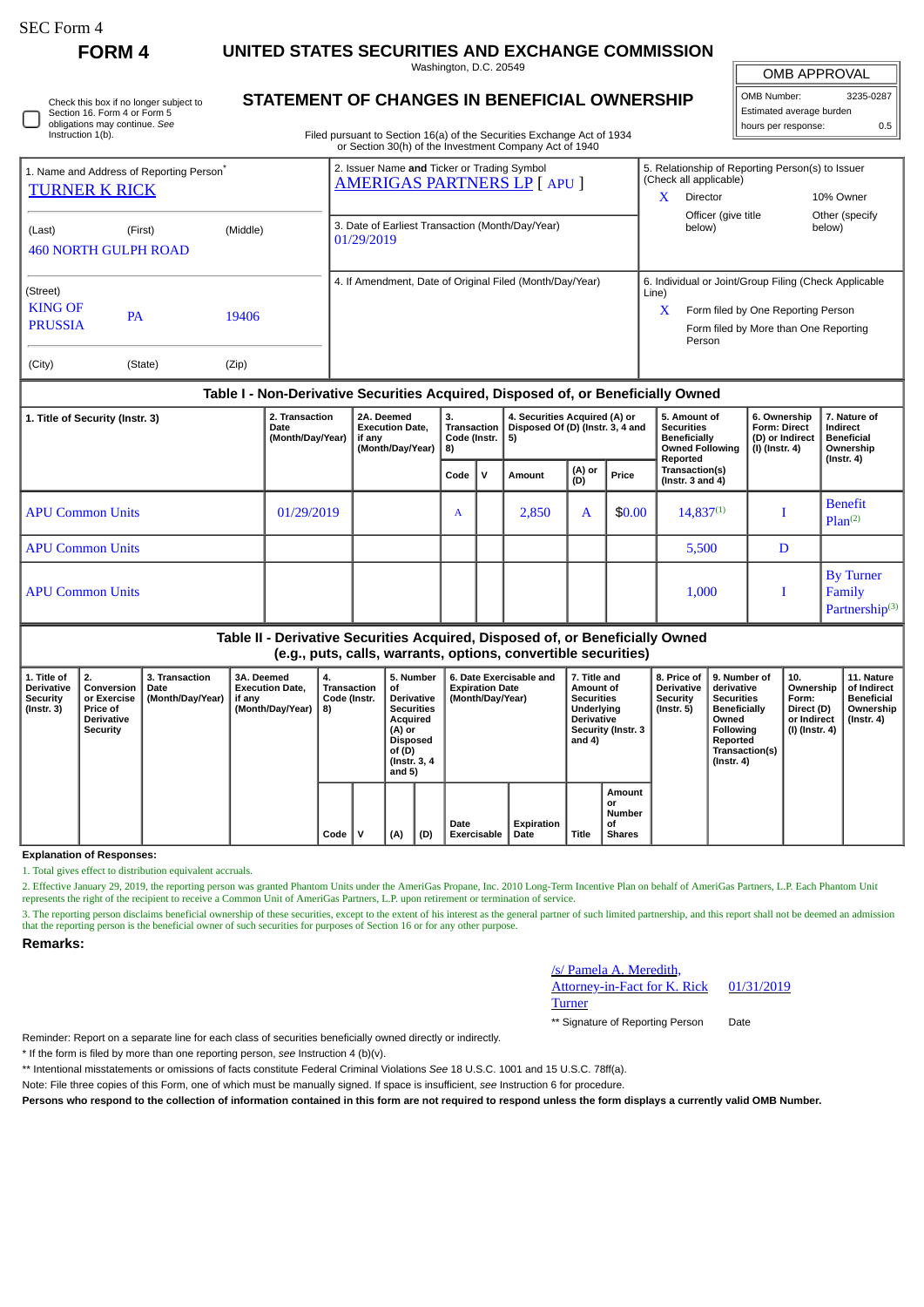| SEC Form 4 |  |
|------------|--|
|------------|--|

П

**FORM 4 UNITED STATES SECURITIES AND EXCHANGE COMMISSION**

Washington, D.C. 20549

| Check this box if no longer subject to |
|----------------------------------------|
| Section 16. Form 4 or Form 5           |
| obligations may continue. See          |
| Instruction 1(b).                      |

# **STATEMENT OF CHANGES IN BENEFICIAL OWNERSHIP**

Filed pursuant to Section 16(a) of the Securities Exchange Act of 1934 or Section 30(h) of the Investment Company Act of 1940

| <b>OMB APPROVAL</b>      |     |  |  |  |  |  |  |  |  |
|--------------------------|-----|--|--|--|--|--|--|--|--|
| 3235-0287<br>OMB Number: |     |  |  |  |  |  |  |  |  |
| Estimated average burden |     |  |  |  |  |  |  |  |  |
| hours per response:      | 0.5 |  |  |  |  |  |  |  |  |

| 1. Name and Address of Reporting Person <sup>®</sup><br><b>TURNER K RICK</b>            |                                                    |       | 2. Issuer Name and Ticker or Trading Symbol<br><b>AMERIGAS PARTNERS LP [ APU ]</b> | x          | 5. Relationship of Reporting Person(s) to Issuer<br>(Check all applicable)<br>Director                                                         | 10% Owner                |  |
|-----------------------------------------------------------------------------------------|----------------------------------------------------|-------|------------------------------------------------------------------------------------|------------|------------------------------------------------------------------------------------------------------------------------------------------------|--------------------------|--|
| (Last)                                                                                  | (Middle)<br>(First)<br><b>460 NORTH GULPH ROAD</b> |       | 3. Date of Earliest Transaction (Month/Day/Year)<br>01/29/2019                     |            | Officer (give title<br>below)                                                                                                                  | Other (specify<br>below) |  |
| (Street)<br><b>KING OF</b><br>19406<br><b>PA</b><br><b>PRUSSIA</b><br>(City)<br>(State) |                                                    | (Zip) | 4. If Amendment, Date of Original Filed (Month/Day/Year)                           | Line)<br>X | 6. Individual or Joint/Group Filing (Check Applicable<br>Form filed by One Reporting Person<br>Form filed by More than One Reporting<br>Person |                          |  |

## **Table I - Non-Derivative Securities Acquired, Disposed of, or Beneficially Owned**

| 1. Title of Security (Instr. 3) | 2. Transaction<br>Date<br>(Month/Day/Year) | 2A. Deemed<br><b>Execution Date,</b><br>if any<br>(Month/Day/Year) | 3.<br><b>Transaction</b><br>Code (Instr. $ 5$ )<br>8) |             | 4. Securities Acquired (A) or<br>Disposed Of (D) (Instr. 3, 4 and |               |        | 5. Amount of<br><b>Securities</b><br><b>Beneficially</b><br><b>Owned Following</b><br>Reported | 6. Ownership<br><b>Form: Direct</b><br>(D) or Indirect<br>(I) (Instr. 4) | 7. Nature of<br>Indirect<br><b>Beneficial</b><br>Ownership<br>(Instr. 4) |
|---------------------------------|--------------------------------------------|--------------------------------------------------------------------|-------------------------------------------------------|-------------|-------------------------------------------------------------------|---------------|--------|------------------------------------------------------------------------------------------------|--------------------------------------------------------------------------|--------------------------------------------------------------------------|
|                                 |                                            |                                                                    | Code                                                  | $\mathbf v$ | Amount                                                            | (A) or<br>(D) | Price  | Transaction(s)<br>(Instr. $3$ and $4$ )                                                        |                                                                          |                                                                          |
| <b>APU Common Units</b>         | 01/29/2019                                 |                                                                    | A                                                     |             | 2,850                                                             | A             | \$0.00 | $14,837^{(1)}$                                                                                 |                                                                          | <b>Benefit</b><br>Plan <sup>(2)</sup>                                    |
| <b>APU Common Units</b>         |                                            |                                                                    |                                                       |             |                                                                   |               |        | 5,500                                                                                          | D                                                                        |                                                                          |
| l APU Common Units              |                                            |                                                                    |                                                       |             |                                                                   |               |        | 1,000                                                                                          |                                                                          | <b>By Turner</b><br>Family<br>Partnership <sup>(3)</sup>                 |

## **Table II - Derivative Securities Acquired, Disposed of, or Beneficially Owned (e.g., puts, calls, warrants, options, convertible securities)**

|                                                                  | $(0.5)$ based agreed the contract above the contract and a contracted               |                                            |                                                                           |                                                |  |                                                                                                                                         |     |                                                                       |                    |                                                                                                                   |                                               |                                                            |                                                                                                                                         |                                                                          |                                                                          |
|------------------------------------------------------------------|-------------------------------------------------------------------------------------|--------------------------------------------|---------------------------------------------------------------------------|------------------------------------------------|--|-----------------------------------------------------------------------------------------------------------------------------------------|-----|-----------------------------------------------------------------------|--------------------|-------------------------------------------------------------------------------------------------------------------|-----------------------------------------------|------------------------------------------------------------|-----------------------------------------------------------------------------------------------------------------------------------------|--------------------------------------------------------------------------|--------------------------------------------------------------------------|
| 1. Title of<br><b>Derivative</b><br>Security<br>$($ lnstr. 3 $)$ | 2.<br>Conversion<br>or Exercise<br><b>Price of</b><br><b>Derivative</b><br>Security | 3. Transaction<br>Date<br>(Month/Day/Year) | <b>3A. Deemed</b><br><b>Execution Date.</b><br>if any<br>(Month/Day/Year) | 4.<br><b>Transaction</b><br>Code (Instr.<br>8) |  | 5. Number<br>οf<br><b>Derivative</b><br><b>Securities</b><br>Acquired<br>(A) or<br><b>Disposed</b><br>of (D)<br>(Instr. 3, 4)<br>and 5) |     | 6. Date Exercisable and<br><b>Expiration Date</b><br>(Month/Day/Year) |                    | 7. Title and<br>Amount of<br><b>Securities</b><br>Underlying<br><b>Derivative</b><br>Security (Instr. 3<br>and 4) |                                               | 8. Price of<br><b>Derivative</b><br>Security<br>(Instr. 5) | 9. Number of<br>derivative<br><b>Securities</b><br>Beneficially<br>Owned<br>Following<br>Reported<br>Transaction(s)<br>$($ Instr. 4 $)$ | 10.<br>Ownership<br>Form:<br>Direct (D)<br>or Indirect<br>(I) (Instr. 4) | 11. Nature<br>of Indirect<br>Beneficial<br>Ownership<br>$($ Instr. 4 $)$ |
|                                                                  |                                                                                     |                                            |                                                                           | Code                                           |  | (A)                                                                                                                                     | (D) | Date<br>Exercisable                                                   | Expiration<br>Date | Title                                                                                                             | Amount<br>or<br>Number<br>οf<br><b>Shares</b> |                                                            |                                                                                                                                         |                                                                          |                                                                          |

**Explanation of Responses:**

1. Total gives effect to distribution equivalent accruals.

2. Effective January 29, 2019, the reporting person was granted Phantom Units under the AmeriGas Propane, Inc. 2010 Long-Term Incentive Plan on behalf of AmeriGas Partners, L.P. Each Phantom Unit represents the right of the recipient to receive a Common Unit of AmeriGas Partners, L.P. upon retirement or termination of service.

3. The reporting person disclaims beneficial ownership of these securities, except to the extent of his interest as the general partner of such limited partnership, and this report shall not be deemed an admission that the reporting person is the beneficial owner of such securities for purposes of Section 16 or for any other purpose.

**Remarks:**

#### /s/ Pamela A. Meredith,

**Turner** 

Attorney-in-Fact for K. Rick

01/31/2019

\*\* Signature of Reporting Person Date

Reminder: Report on a separate line for each class of securities beneficially owned directly or indirectly.

\* If the form is filed by more than one reporting person, *see* Instruction 4 (b)(v).

\*\* Intentional misstatements or omissions of facts constitute Federal Criminal Violations *See* 18 U.S.C. 1001 and 15 U.S.C. 78ff(a).

Note: File three copies of this Form, one of which must be manually signed. If space is insufficient, *see* Instruction 6 for procedure.

**Persons who respond to the collection of information contained in this form are not required to respond unless the form displays a currently valid OMB Number.**